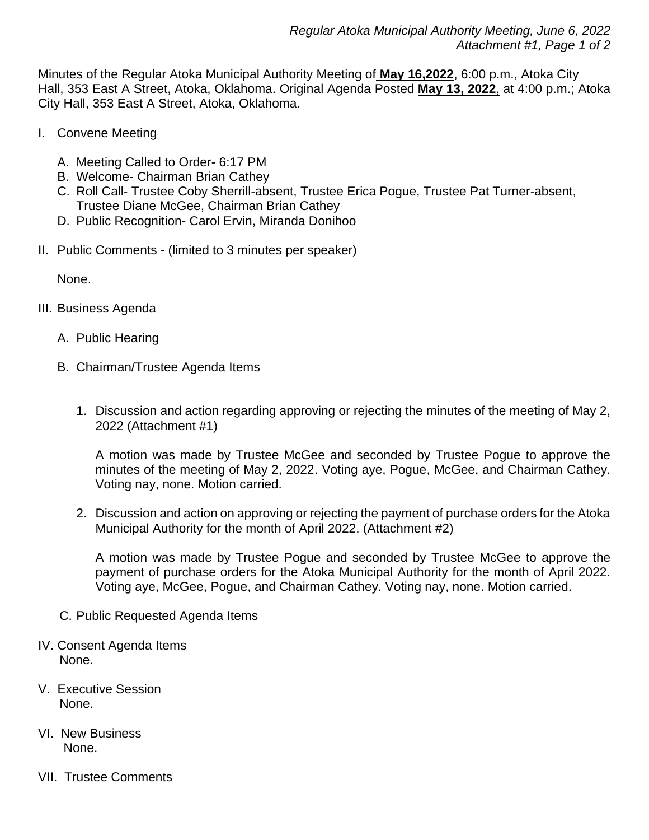Minutes of the Regular Atoka Municipal Authority Meeting of **May 16,2022**, 6:00 p.m., Atoka City Hall, 353 East A Street, Atoka, Oklahoma. Original Agenda Posted **May 13, 2022**, at 4:00 p.m.; Atoka City Hall, 353 East A Street, Atoka, Oklahoma.

- I. Convene Meeting
	- A. Meeting Called to Order- 6:17 PM
	- B. Welcome- Chairman Brian Cathey
	- C. Roll Call- Trustee Coby Sherrill-absent, Trustee Erica Pogue, Trustee Pat Turner-absent, Trustee Diane McGee, Chairman Brian Cathey
	- D. Public Recognition- Carol Ervin, Miranda Donihoo
- II. Public Comments (limited to 3 minutes per speaker)

None.

- III. Business Agenda
	- A. Public Hearing
	- B. Chairman/Trustee Agenda Items
		- 1. Discussion and action regarding approving or rejecting the minutes of the meeting of May 2, 2022 (Attachment #1)

A motion was made by Trustee McGee and seconded by Trustee Pogue to approve the minutes of the meeting of May 2, 2022. Voting aye, Pogue, McGee, and Chairman Cathey. Voting nay, none. Motion carried.

2. Discussion and action on approving or rejecting the payment of purchase orders for the Atoka Municipal Authority for the month of April 2022. (Attachment #2)

A motion was made by Trustee Pogue and seconded by Trustee McGee to approve the payment of purchase orders for the Atoka Municipal Authority for the month of April 2022. Voting aye, McGee, Pogue, and Chairman Cathey. Voting nay, none. Motion carried.

- C. Public Requested Agenda Items
- IV. Consent Agenda Items None.
- V. Executive Session None.
- VI. New Business None.
- VII. Trustee Comments